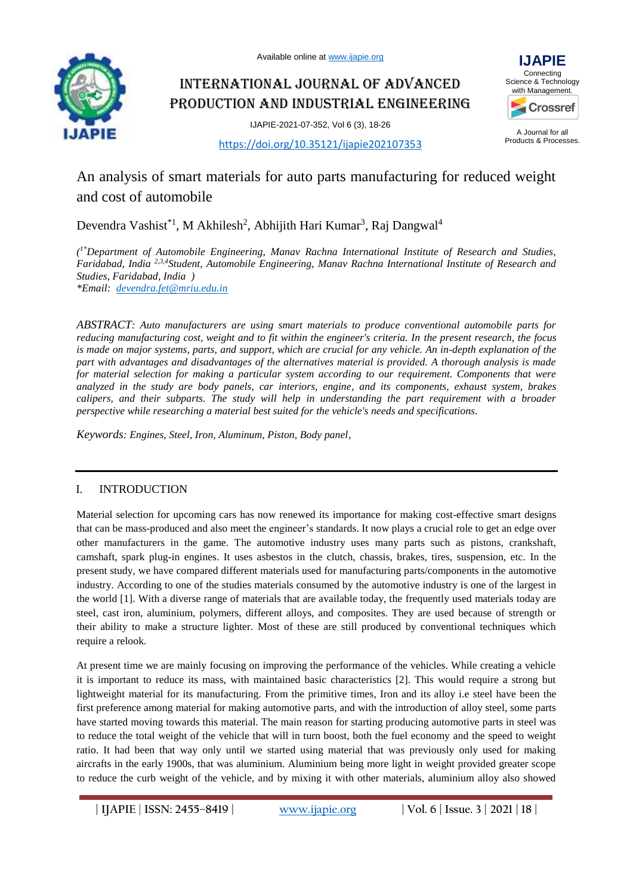Available online at [www.ijapie.org](http://www.ijapie.org/)



# International Journal of Advanced Production and Industrial Engineering

IJAPIE-2021-07-352, Vol 6 (3), 18-26



A Journal for all Products & Processes.

# <https://doi.org/10.35121/ijapie202107353>

# An analysis of smart materials for auto parts manufacturing for reduced weight and cost of automobile

Devendra Vashist<sup>\*1</sup>, M Akhilesh<sup>2</sup>, Abhijith Hari Kumar<sup>3</sup>, Raj Dangwal<sup>4</sup>

*( 1\*Department of Automobile Engineering, Manav Rachna International Institute of Research and Studies, Faridabad, India 2,3,4Student, Automobile Engineering, Manav Rachna International Institute of Research and Studies, Faridabad, India )*

*\*Email: [devendra.fet@mriu.edu.in](mailto:devendra.fet@mriu.edu.in)*

*ABSTRACT: Auto manufacturers are using smart materials to produce conventional automobile parts for reducing manufacturing cost, weight and to fit within the engineer's criteria. In the present research, the focus is made on major systems, parts, and support, which are crucial for any vehicle. An in-depth explanation of the part with advantages and disadvantages of the alternatives material is provided. A thorough analysis is made for material selection for making a particular system according to our requirement. Components that were analyzed in the study are body panels, car interiors, engine, and its components, exhaust system, brakes calipers, and their subparts. The study will help in understanding the part requirement with a broader perspective while researching a material best suited for the vehicle's needs and specifications.*

*Keywords: Engines, Steel, Iron, Aluminum, Piston, Body panel,*

# I. INTRODUCTION

Material selection for upcoming cars has now renewed its importance for making cost-effective smart designs that can be mass-produced and also meet the engineer's standards. It now plays a crucial role to get an edge over other manufacturers in the game. The automotive industry uses many parts such as pistons, crankshaft, camshaft, spark plug-in engines. It uses asbestos in the clutch, chassis, brakes, tires, suspension, etc. In the present study, we have compared different materials used for manufacturing parts/components in the automotive industry. According to one of the studies materials consumed by the automotive industry is one of the largest in the world [1]. With a diverse range of materials that are available today, the frequently used materials today are steel, cast iron, aluminium, polymers, different alloys, and composites. They are used because of strength or their ability to make a structure lighter. Most of these are still produced by conventional techniques which require a relook.

At present time we are mainly focusing on improving the performance of the vehicles. While creating a vehicle it is important to reduce its mass, with maintained basic characteristics [2]. This would require a strong but lightweight material for its manufacturing. From the primitive times, Iron and its alloy i.e steel have been the first preference among material for making automotive parts, and with the introduction of alloy steel, some parts have started moving towards this material. The main reason for starting producing automotive parts in steel was to reduce the total weight of the vehicle that will in turn boost, both the fuel economy and the speed to weight ratio. It had been that way only until we started using material that was previously only used for making aircrafts in the early 1900s, that was aluminium. Aluminium being more light in weight provided greater scope to reduce the curb weight of the vehicle, and by mixing it with other materials, aluminium alloy also showed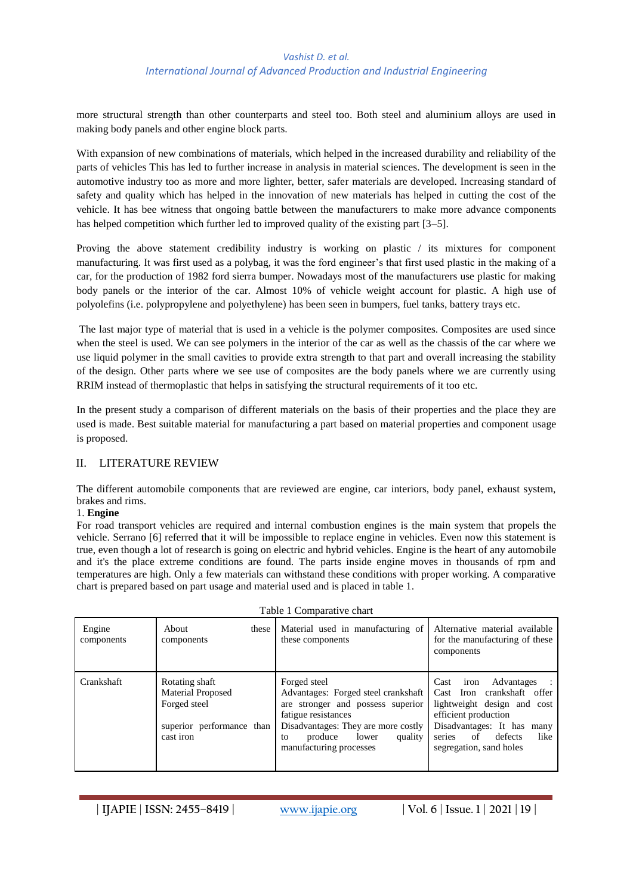more structural strength than other counterparts and steel too. Both steel and aluminium alloys are used in making body panels and other engine block parts.

With expansion of new combinations of materials, which helped in the increased durability and reliability of the parts of vehicles This has led to further increase in analysis in material sciences. The development is seen in the automotive industry too as more and more lighter, better, safer materials are developed. Increasing standard of safety and quality which has helped in the innovation of new materials has helped in cutting the cost of the vehicle. It has bee witness that ongoing battle between the manufacturers to make more advance components has helped competition which further led to improved quality of the existing part [3–5].

Proving the above statement credibility industry is working on plastic / its mixtures for component manufacturing. It was first used as a polybag, it was the ford engineer's that first used plastic in the making of a car, for the production of 1982 ford sierra bumper. Nowadays most of the manufacturers use plastic for making body panels or the interior of the car. Almost 10% of vehicle weight account for plastic. A high use of polyolefins (i.e. polypropylene and polyethylene) has been seen in bumpers, fuel tanks, battery trays etc.

The last major type of material that is used in a vehicle is the polymer composites. Composites are used since when the steel is used. We can see polymers in the interior of the car as well as the chassis of the car where we use liquid polymer in the small cavities to provide extra strength to that part and overall increasing the stability of the design. Other parts where we see use of composites are the body panels where we are currently using RRIM instead of thermoplastic that helps in satisfying the structural requirements of it too etc.

In the present study a comparison of different materials on the basis of their properties and the place they are used is made. Best suitable material for manufacturing a part based on material properties and component usage is proposed.

### II. LITERATURE REVIEW

The different automobile components that are reviewed are engine, car interiors, body panel, exhaust system, brakes and rims.

### 1. **Engine**

For road transport vehicles are required and internal combustion engines is the main system that propels the vehicle. Serrano [6] referred that it will be impossible to replace engine in vehicles. Even now this statement is true, even though a lot of research is going on electric and hybrid vehicles. Engine is the heart of any automobile and it's the place extreme conditions are found. The parts inside engine moves in thousands of rpm and temperatures are high. Only a few materials can withstand these conditions with proper working. A comparative chart is prepared based on part usage and material used and is placed in table 1.

| Table 1 Comparative chart |                                                                                                      |                                                                                                                                                                                                                        |                                                                                                                                                                                                                |  |
|---------------------------|------------------------------------------------------------------------------------------------------|------------------------------------------------------------------------------------------------------------------------------------------------------------------------------------------------------------------------|----------------------------------------------------------------------------------------------------------------------------------------------------------------------------------------------------------------|--|
| Engine<br>components      | About<br>these<br>components                                                                         | Material used in manufacturing of<br>these components                                                                                                                                                                  | Alternative material available<br>for the manufacturing of these<br>components                                                                                                                                 |  |
| <b>Crankshaft</b>         | Rotating shaft<br><b>Material Proposed</b><br>Forged steel<br>superior performance than<br>cast iron | Forged steel<br>Advantages: Forged steel crankshaft<br>are stronger and possess superior<br>fatigue resistances<br>Disadvantages: They are more costly<br>produce<br>quality<br>lower<br>to<br>manufacturing processes | Advantages<br>Cast<br>iron<br>Cast Iron crankshaft offer<br>lightweight design and cost<br>efficient production<br>Disadvantages: It has<br>many<br>series<br>of<br>defects<br>like<br>segregation, sand holes |  |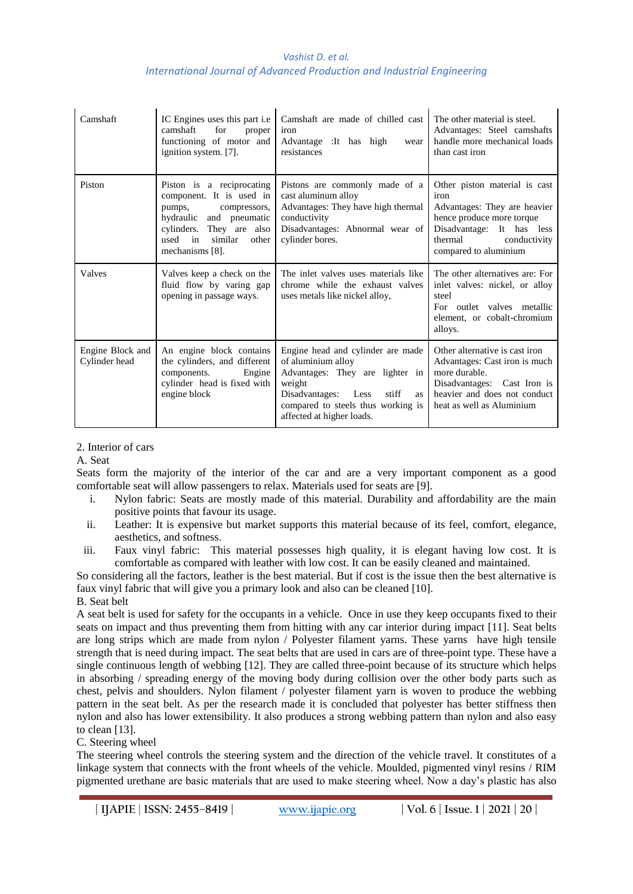| Camshaft                          | IC Engines uses this part <i>i.e</i><br>camshaft<br>for<br>proper<br>functioning of motor and<br>ignition system. [7].                                                                         | Camshaft are made of chilled cast<br>iron<br>Advantage : It has high<br>wear<br>resistances                                                                                                                   | The other material is steel.<br>Advantages: Steel camshafts<br>handle more mechanical loads<br>than cast iron                                                                       |
|-----------------------------------|------------------------------------------------------------------------------------------------------------------------------------------------------------------------------------------------|---------------------------------------------------------------------------------------------------------------------------------------------------------------------------------------------------------------|-------------------------------------------------------------------------------------------------------------------------------------------------------------------------------------|
| Piston                            | Piston is a reciprocating<br>component. It is used in<br>pumps,<br>compressors,<br>hydraulic<br>and pneumatic<br>They are also<br>cylinders.<br>used in<br>similar<br>other<br>mechanisms [8]. | Pistons are commonly made of a<br>cast aluminum alloy<br>Advantages: They have high thermal<br>conductivity<br>Disadvantages: Abnormal wear of<br>cylinder bores.                                             | Other piston material is cast<br>iron<br>Advantages: They are heavier<br>hence produce more torque<br>Disadvantage: It has less<br>thermal<br>conductivity<br>compared to aluminium |
| Valves                            | Valves keep a check on the<br>fluid flow by varing gap<br>opening in passage ways.                                                                                                             | The inlet valves uses materials like<br>chrome while the exhaust valves<br>uses metals like nickel alloy,                                                                                                     | The other alternatives are: For<br>inlet valves: nickel, or alloy<br>steel<br>For outlet valves metallic<br>element, or cobalt-chromium<br>alloys.                                  |
| Engine Block and<br>Cylinder head | An engine block contains<br>the cylinders, and different<br>components.<br>Engine<br>cylinder head is fixed with<br>engine block                                                               | Engine head and cylinder are made<br>of aluminium alloy<br>Advantages: They are lighter in<br>weight<br>Disadvantages: Less<br>stiff<br>as<br>compared to steels thus working is<br>affected at higher loads. | Other alternative is cast iron<br>Advantages: Cast iron is much<br>more durable.<br>Disadvantages: Cast Iron is<br>heavier and does not conduct<br>heat as well as Aluminium        |

### 2. Interior of cars

A. Seat

Seats form the majority of the interior of the car and are a very important component as a good comfortable seat will allow passengers to relax. Materials used for seats are [9].

- i. Nylon fabric: Seats are mostly made of this material. Durability and affordability are the main positive points that favour its usage.
- ii. Leather: It is expensive but market supports this material because of its feel, comfort, elegance, aesthetics, and softness.
- iii. Faux vinyl fabric: This material possesses high quality, it is elegant having low cost. It is comfortable as compared with leather with low cost. It can be easily cleaned and maintained.

So considering all the factors, leather is the best material. But if cost is the issue then the best alternative is faux vinyl fabric that will give you a primary look and also can be cleaned [10].

B. Seat belt

A seat belt is used for safety for the occupants in a vehicle. Once in use they keep occupants fixed to their seats on impact and thus preventing them from hitting with any car interior during impact [11]. Seat belts are long strips which are made from nylon / Polyester filament yarns. These yarns have high tensile strength that is need during impact. The seat belts that are used in cars are of three-point type. These have a single continuous length of webbing [12]. They are called three-point because of its structure which helps in absorbing / spreading energy of the moving body during collision over the other body parts such as chest, pelvis and shoulders. Nylon filament / polyester filament yarn is woven to produce the webbing pattern in the seat belt. As per the research made it is concluded that polyester has better stiffness then nylon and also has lower extensibility. It also produces a strong webbing pattern than nylon and also easy to clean [13].

C. Steering wheel

The steering wheel controls the steering system and the direction of the vehicle travel. It constitutes of a linkage system that connects with the front wheels of the vehicle. Moulded, pigmented vinyl resins / RIM pigmented urethane are basic materials that are used to make steering wheel. Now a day's plastic has also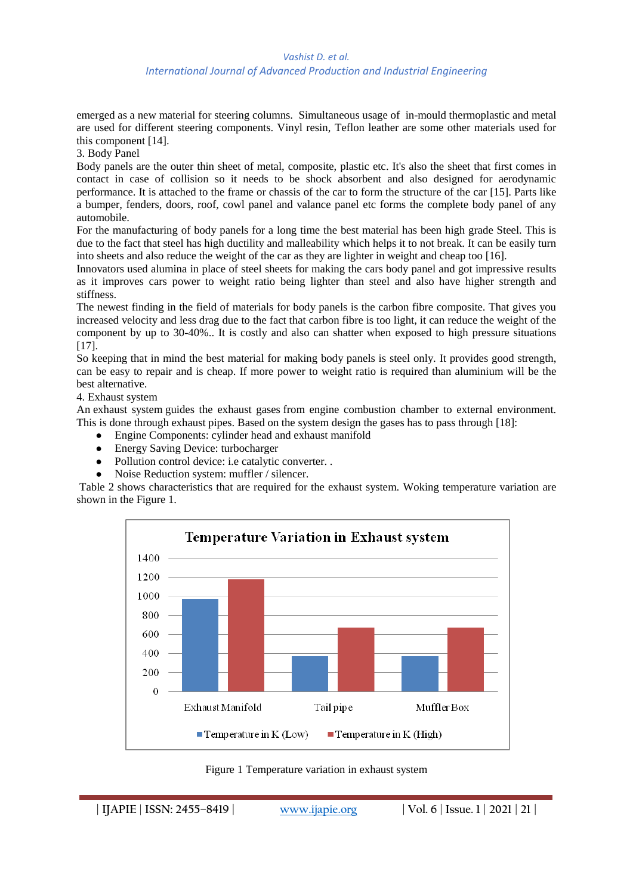#### *Vashist D. et al.*

#### *International Journal of Advanced Production and Industrial Engineering*

emerged as a new material for steering columns. Simultaneous usage of in-mould thermoplastic and metal are used for different steering components. Vinyl resin, Teflon leather are some other materials used for this component [14].

3. Body Panel

Body panels are the outer thin sheet of metal, composite, plastic etc. It's also the sheet that first comes in contact in case of collision so it needs to be shock absorbent and also designed for aerodynamic performance. It is attached to the frame or chassis of the car to form the structure of the car [15]. Parts like a bumper, fenders, doors, roof, cowl panel and valance panel etc forms the complete body panel of any automobile.

For the manufacturing of body panels for a long time the best material has been high grade Steel. This is due to the fact that steel has high ductility and malleability which helps it to not break. It can be easily turn into sheets and also reduce the weight of the car as they are lighter in weight and cheap too [16].

Innovators used alumina in place of steel sheets for making the cars body panel and got impressive results as it improves cars power to weight ratio being lighter than steel and also have higher strength and stiffness.

The newest finding in the field of materials for body panels is the carbon fibre composite. That gives you increased velocity and less drag due to the fact that carbon fibre is too light, it can reduce the weight of the component by up to 30-40%.. It is costly and also can shatter when exposed to high pressure situations [17].

So keeping that in mind the best material for making body panels is steel only. It provides good strength, can be easy to repair and is cheap. If more power to weight ratio is required than aluminium will be the best alternative.

4. Exhaust system

An exhaust system guides the exhaust gases from engine combustion chamber to external environment. This is done through exhaust pipes. Based on the system design the gases has to pass through [18]:

- Engine Components: cylinder head and exhaust manifold
- Energy Saving Device: turbocharger
- Pollution control device: i.e catalytic converter. .
- Noise Reduction system: muffler / silencer.

Table 2 shows characteristics that are required for the exhaust system. Woking temperature variation are shown in the Figure 1.



Figure 1 Temperature variation in exhaust system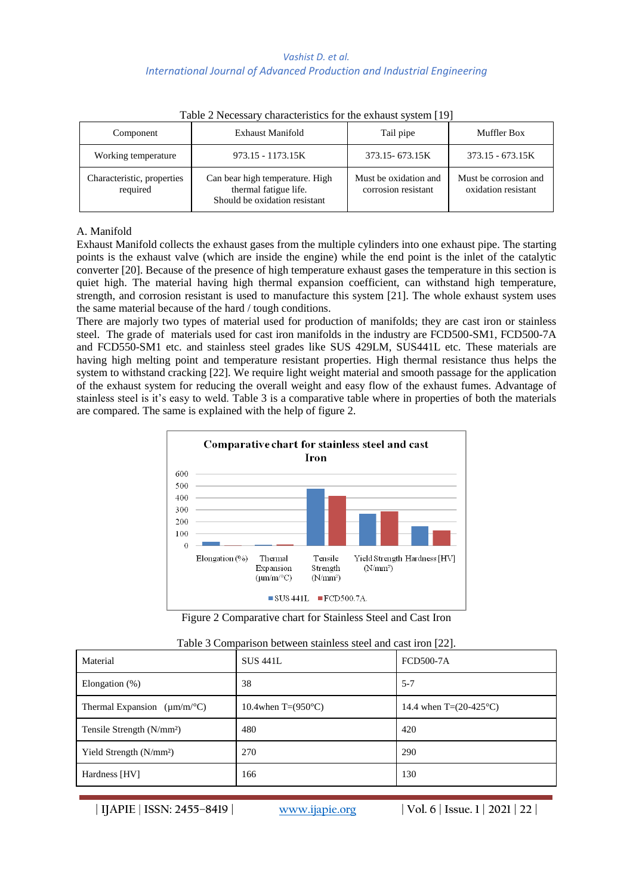| $1.0018$ = $1.00000000$ ; villations to the $0.10000000$ of $0.000000$ |                                                                                           |                                              |                                              |  |
|------------------------------------------------------------------------|-------------------------------------------------------------------------------------------|----------------------------------------------|----------------------------------------------|--|
| Component                                                              | <b>Exhaust Manifold</b>                                                                   | Tail pipe                                    | Muffler Box                                  |  |
| Working temperature                                                    | 973.15 - 1173.15K                                                                         | 373.15 - 673.15K                             | $373.15 - 673.15K$                           |  |
| Characteristic, properties<br>required                                 | Can bear high temperature. High<br>thermal fatigue life.<br>Should be oxidation resistant | Must be oxidation and<br>corrosion resistant | Must be corrosion and<br>oxidation resistant |  |

| Table 2 Necessary characteristics for the exhaust system [19] |  |  |  |
|---------------------------------------------------------------|--|--|--|
|---------------------------------------------------------------|--|--|--|

#### A. Manifold

Exhaust Manifold collects the exhaust gases from the multiple cylinders into one exhaust pipe. The starting points is the exhaust valve (which are inside the engine) while the end point is the inlet of the catalytic converter [20]. Because of the presence of high temperature exhaust gases the temperature in this section is quiet high. The material having high thermal expansion coefficient, can withstand high temperature, strength, and corrosion resistant is used to manufacture this system [21]. The whole exhaust system uses the same material because of the hard / tough conditions.

There are majorly two types of material used for production of manifolds; they are cast iron or stainless steel. The grade of materials used for cast iron manifolds in the industry are FCD500-SM1, FCD500-7A and FCD550-SM1 etc. and stainless steel grades like SUS 429LM, SUS441L etc. These materials are having high melting point and temperature resistant properties. High thermal resistance thus helps the system to withstand cracking [22]. We require light weight material and smooth passage for the application of the exhaust system for reducing the overall weight and easy flow of the exhaust fumes. Advantage of stainless steel is it's easy to weld. Table 3 is a comparative table where in properties of both the materials are compared. The same is explained with the help of figure 2.



Figure 2 Comparative chart for Stainless Steel and Cast Iron

| Table 3 Comparison between stainless steel and cast iron [22]. |  |  |  |
|----------------------------------------------------------------|--|--|--|
|                                                                |  |  |  |

| Material                               | <b>SUS 441L</b>              | <b>FCD500-7A</b>                |
|----------------------------------------|------------------------------|---------------------------------|
| Elongation $(\%)$                      | 38                           | $5 - 7$                         |
| Thermal Expansion $(\mu m/m^{\circ}C)$ | 10.4when T= $(950^{\circ}C)$ | 14.4 when $T=(20-425^{\circ}C)$ |
| Tensile Strength (N/mm <sup>2</sup> )  | 480                          | 420                             |
| Yield Strength (N/mm <sup>2</sup> )    | 270                          | 290                             |
| Hardness [HV]                          | 166                          | 130                             |

**| IJAPIE** | **ISSN: 2455–8419 | [www.ijapie.org](http://www.ijapie.org/) | Vol. 6 | Issue. 1 | 2021 | 22 |**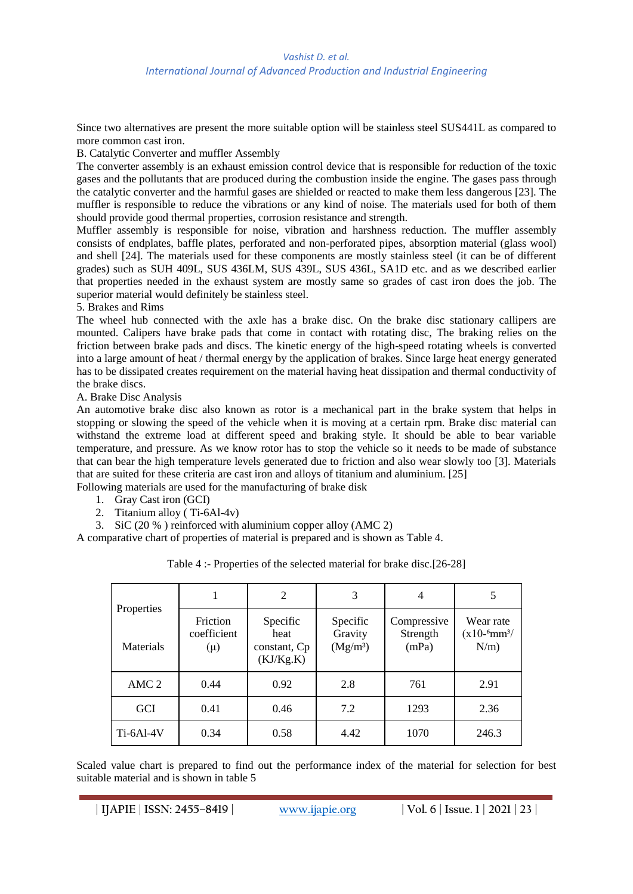Since two alternatives are present the more suitable option will be stainless steel SUS441L as compared to more common cast iron.

### B. Catalytic Converter and muffler Assembly

The converter assembly is an exhaust emission control device that is responsible for reduction of the toxic gases and the pollutants that are produced during the combustion inside the engine. The gases pass through the catalytic converter and the harmful gases are shielded or reacted to make them less dangerous [23]. The muffler is responsible to reduce the vibrations or any kind of noise. The materials used for both of them should provide good thermal properties, corrosion resistance and strength.

Muffler assembly is responsible for noise, vibration and harshness reduction. The muffler assembly consists of endplates, baffle plates, perforated and non-perforated pipes, absorption material (glass wool) and shell [24]. The materials used for these components are mostly stainless steel (it can be of different grades) such as SUH 409L, SUS 436LM, SUS 439L, SUS 436L, SA1D etc. and as we described earlier that properties needed in the exhaust system are mostly same so grades of cast iron does the job. The superior material would definitely be stainless steel.

5. Brakes and Rims

The wheel hub connected with the axle has a brake disc. On the brake disc stationary callipers are mounted. Calipers have brake pads that come in contact with rotating disc, The braking relies on the friction between brake pads and discs. The kinetic energy of the high-speed rotating wheels is converted into a large amount of heat / thermal energy by the application of brakes. Since large heat energy generated has to be dissipated creates requirement on the material having heat dissipation and thermal conductivity of the brake discs.

# A. Brake Disc Analysis

An automotive brake disc also known as rotor is a mechanical part in the brake system that helps in stopping or slowing the speed of the vehicle when it is moving at a certain rpm. Brake disc material can withstand the extreme load at different speed and braking style. It should be able to bear variable temperature, and pressure. As we know rotor has to stop the vehicle so it needs to be made of substance that can bear the high temperature levels generated due to friction and also wear slowly too [3]. Materials that are suited for these criteria are cast iron and alloys of titanium and aluminium. [25]

Following materials are used for the manufacturing of brake disk

- 1. Gray Cast iron (GCI)
- 2. Titanium alloy (Ti-6Al-4v)
- 3. SiC (20 % ) reinforced with aluminium copper alloy (AMC 2)

A comparative chart of properties of material is prepared and is shown as Table 4.

|                         |                                    | 2                                             | 3                                           | 4                                | 5                                                     |
|-------------------------|------------------------------------|-----------------------------------------------|---------------------------------------------|----------------------------------|-------------------------------------------------------|
| Properties<br>Materials | Friction<br>coefficient<br>$(\mu)$ | Specific<br>heat<br>constant, Cp<br>(KJ/Kg.K) | Specific<br>Gravity<br>(Mg/m <sup>3</sup> ) | Compressive<br>Strength<br>(mPa) | Wear rate<br>$(x10^{-6}$ mm <sup>3</sup> /<br>$N/m$ ) |
| AMC <sub>2</sub>        | 0.44                               | 0.92                                          | 2.8                                         | 761                              | 2.91                                                  |
| <b>GCI</b>              | 0.41                               | 0.46                                          | 7.2                                         | 1293                             | 2.36                                                  |
| Ti-6Al-4V               | 0.34                               | 0.58                                          | 4.42                                        | 1070                             | 246.3                                                 |

| Table 4 :- Properties of the selected material for brake disc.[26-28] |  |  |
|-----------------------------------------------------------------------|--|--|
|-----------------------------------------------------------------------|--|--|

Scaled value chart is prepared to find out the performance index of the material for selection for best suitable material and is shown in table 5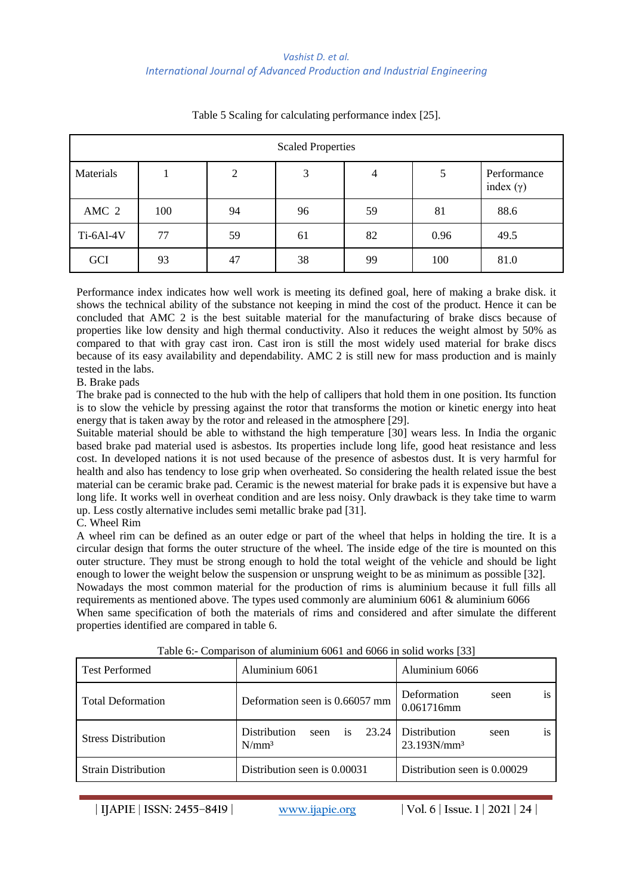| <b>Scaled Properties</b> |     |    |    |    |      |                                 |
|--------------------------|-----|----|----|----|------|---------------------------------|
| Materials                |     | 2  | 3  | 4  | 5    | Performance<br>index $(\gamma)$ |
| AMC 2                    | 100 | 94 | 96 | 59 | 81   | 88.6                            |
| Ti-6Al-4V                | 77  | 59 | 61 | 82 | 0.96 | 49.5                            |
| GCI                      | 93  | 47 | 38 | 99 | 100  | 81.0                            |

Table 5 Scaling for calculating performance index [25].

Performance index indicates how well work is meeting its defined goal, here of making a brake disk. it shows the technical ability of the substance not keeping in mind the cost of the product. Hence it can be concluded that AMC 2 is the best suitable material for the manufacturing of brake discs because of properties like low density and high thermal conductivity. Also it reduces the weight almost by 50% as compared to that with gray cast iron. Cast iron is still the most widely used material for brake discs because of its easy availability and dependability. AMC 2 is still new for mass production and is mainly tested in the labs.

### B. Brake pads

The brake pad is connected to the hub with the help of callipers that hold them in one position. Its function is to slow the vehicle by pressing against the rotor that transforms the motion or kinetic energy into heat energy that is taken away by the rotor and released in the atmosphere [29].

Suitable material should be able to withstand the high temperature [30] wears less. In India the organic based brake pad material used is asbestos. Its properties include long life, good heat resistance and less cost. In developed nations it is not used because of the presence of asbestos dust. It is very harmful for health and also has tendency to lose grip when overheated. So considering the health related issue the best material can be ceramic brake pad. Ceramic is the newest material for brake pads it is expensive but have a long life. It works well in overheat condition and are less noisy. Only drawback is they take time to warm up. Less costly alternative includes semi metallic brake pad [31].

### C. Wheel Rim

A wheel rim can be defined as an outer edge or part of the wheel that helps in holding the tire. It is a circular design that forms the outer structure of the wheel. The inside edge of the tire is mounted on this outer structure. They must be strong enough to hold the total weight of the vehicle and should be light enough to lower the weight below the suspension or unsprung weight to be as minimum as possible [32].

Nowadays the most common material for the production of rims is aluminium because it full fills all requirements as mentioned above. The types used commonly are aluminium 6061 & aluminium 6066 When same specification of both the materials of rims and considered and after simulate the different properties identified are compared in table 6.

| <b>Test Performed</b>      | Aluminium 6061                                                    | Aluminium 6066                                      |
|----------------------------|-------------------------------------------------------------------|-----------------------------------------------------|
| <b>Total Deformation</b>   | Deformation seen is 0.66057 mm                                    | Deformation<br><b>1S</b><br>seen<br>0.061716mm      |
| <b>Stress Distribution</b> | <b>Distribution</b><br>23.24<br>seen<br><sup>is</sup><br>$N/mm^3$ | <b>Distribution</b><br>seen<br>1S<br>$23.193N/mm^3$ |
| <b>Strain Distribution</b> | Distribution seen is 0.00031                                      | Distribution seen is 0.00029                        |

Table 6:- Comparison of aluminium 6061 and 6066 in solid works [33]

**| IJAPIE** | **ISSN: 2455–8419 | [www.ijapie.org](http://www.ijapie.org/) | Vol. 6 | Issue. 1 | 2021 | 24 |**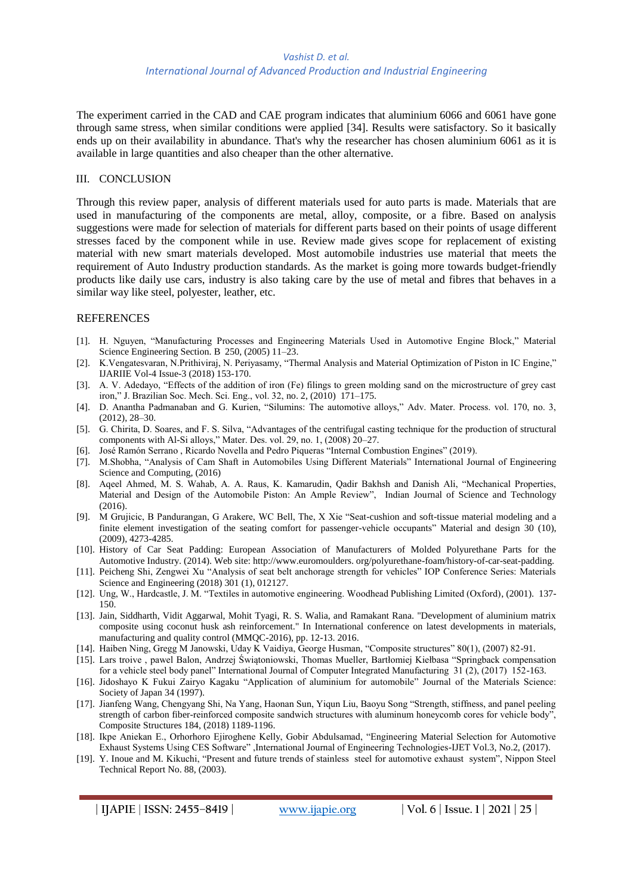The experiment carried in the CAD and CAE program indicates that aluminium 6066 and 6061 have gone through same stress, when similar conditions were applied [34]. Results were satisfactory. So it basically ends up on their availability in abundance. That's why the researcher has chosen aluminium 6061 as it is available in large quantities and also cheaper than the other alternative.

#### III. CONCLUSION

Through this review paper, analysis of different materials used for auto parts is made. Materials that are used in manufacturing of the components are metal, alloy, composite, or a fibre. Based on analysis suggestions were made for selection of materials for different parts based on their points of usage different stresses faced by the component while in use. Review made gives scope for replacement of existing material with new smart materials developed. Most automobile industries use material that meets the requirement of Auto Industry production standards. As the market is going more towards budget-friendly products like daily use cars, industry is also taking care by the use of metal and fibres that behaves in a similar way like steel, polyester, leather, etc.

#### REFERENCES

- [1]. H. Nguyen, "Manufacturing Processes and Engineering Materials Used in Automotive Engine Block," Material Science Engineering Section. B 250, (2005) 11–23.
- [2]. K.Vengatesvaran, N.Prithiviraj, N. Periyasamy, "Thermal Analysis and Material Optimization of Piston in IC Engine," IJARIIE Vol-4 Issue-3 (2018) 153-170.
- [3]. A. V. Adedayo, "Effects of the addition of iron (Fe) filings to green molding sand on the microstructure of grey cast iron," J. Brazilian Soc. Mech. Sci. Eng., vol. 32, no. 2, (2010) 171–175.
- [4]. D. Anantha Padmanaban and G. Kurien, "Silumins: The automotive alloys," Adv. Mater. Process. vol. 170, no. 3, (2012), 28–30.
- [5]. G. Chirita, D. Soares, and F. S. Silva, "Advantages of the centrifugal casting technique for the production of structural components with Al-Si alloys," Mater. Des. vol. 29, no. 1, (2008) 20–27.
- [6]. José Ramón Serrano , Ricardo Novella and Pedro Piqueras "Internal Combustion Engines" (2019).
- [7]. M.Shobha, "Analysis of Cam Shaft in Automobiles Using Different Materials" International Journal of Engineering Science and Computing, (2016)
- [8]. Aqeel Ahmed, M. S. Wahab, A. A. Raus, K. Kamarudin, Qadir Bakhsh and Danish Ali, "Mechanical Properties, Material and Design of the Automobile Piston: An Ample Review", Indian Journal of Science and Technology (2016).
- [9]. M Grujicic, B Pandurangan, G Arakere, WC Bell, The, X Xie "Seat-cushion and soft-tissue material modeling and a finite element investigation of the seating comfort for passenger-vehicle occupants" Material and design 30 (10), (2009), 4273-4285.
- [10]. History of Car Seat Padding: European Association of Manufacturers of Molded Polyurethane Parts for the Automotive Industry. (2014). Web site: http://www.euromoulders. org/polyurethane-foam/history-of-car-seat-padding.
- [11]. Peicheng Shi, Zengwei Xu "Analysis of seat belt anchorage strength for vehicles" IOP Conference Series: Materials Science and Engineering (2018) 301 (1), 012127.
- [12]. Ung, W., Hardcastle, J. M. "Textiles in automotive engineering. Woodhead Publishing Limited (Oxford), (2001). 137- 150.
- [13]. Jain, Siddharth, Vidit Aggarwal, Mohit Tyagi, R. S. Walia, and Ramakant Rana. "Development of aluminium matrix composite using coconut husk ash reinforcement." In International conference on latest developments in materials, manufacturing and quality control (MMQC-2016), pp. 12-13. 2016.
- [14]. Haiben Ning, Gregg M Janowski, Uday K Vaidiya, George Husman, "Composite structures" 80(1), (2007) 82-91.
- [15]. Lars troive , pawel Balon, Andrzej Świątoniowski, Thomas Mueller, Bartłomiej Kiełbasa "Springback compensation for a vehicle steel body panel" International Journal of Computer Integrated Manufacturing 31 (2), (2017) 152-163.
- [16]. Jidoshayo K Fukui Zairyo Kagaku "Application of aluminium for automobile" Journal of the Materials Science: Society of Japan 34 (1997).
- [17]. Jianfeng Wang, Chengyang Shi, Na Yang, Haonan Sun, Yiqun Liu, Baoyu Song "Strength, stiffness, and panel peeling strength of carbon fiber-reinforced composite sandwich structures with aluminum honeycomb cores for vehicle body", Composite Structures 184, (2018) 1189-1196.
- [18]. Ikpe Aniekan E., Orhorhoro Ejiroghene Kelly, Gobir Abdulsamad, "Engineering Material Selection for Automotive Exhaust Systems Using CES Software" ,International Journal of Engineering Technologies-IJET Vol.3, No.2, (2017).
- [19]. Y. Inoue and M. Kikuchi, "Present and future trends of stainless steel for automotive exhaust system", Nippon Steel Technical Report No. 88, (2003).

**| IJAPIE** | **ISSN: 2455–8419 | [www.ijapie.org](http://www.ijapie.org/) | Vol. 6 | Issue. 1 | 2021 | 25 |**